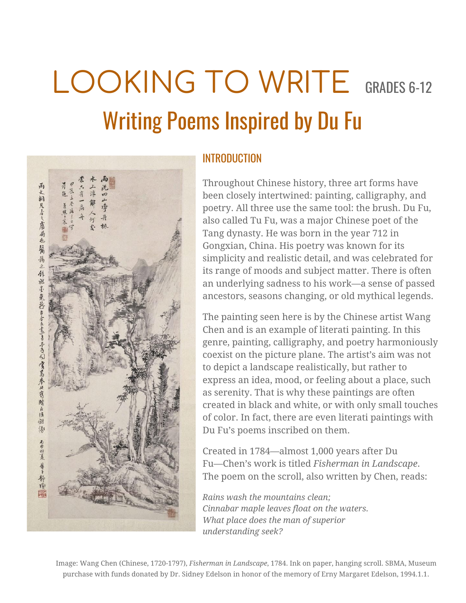# LOOKING TO WRITE GRADES 6-12 Writing Poems Inspired by Du Fu



### INTRODUCTION

Throughout Chinese history, three art forms have been closely intertwined: painting, calligraphy, and poetry. All three use the same tool: the brush. Du Fu, also called Tu Fu, was a major Chinese poet of the Tang dynasty. He was born in the year 712 in Gongxian, China. His poetry was known for its simplicity and realistic detail, and was celebrated for its range of moods and subject matter. There is often an underlying sadness to his work—a sense of passed ancestors, seasons changing, or old mythical legends.

The painting seen here is by the Chinese artist Wang Chen and is an example of literati painting. In this genre, painting, calligraphy, and poetry harmoniously coexist on the picture plane. The artist's aim was not to depict a landscape realistically, but rather to express an idea, mood, or feeling about a place, such as serenity. That is why these paintings are often created in black and white, or with only small touches of color. In fact, there are even literati paintings with Du Fu's poems inscribed on them.

Created in 1784—almost 1,000 years after Du Fu—Chen's work is titled *Fisherman in Landscape*. The poem on the scroll, also written by Chen, reads:

*Rains wash the mountains clean; Cinnabar maple leaves float on the waters. What place does the man of superior understanding seek?*

Image: Wang Chen (Chinese, 1720-1797), *Fisherman in Landscape*, 1784. Ink on paper, hanging scroll. SBMA, Museum purchase with funds donated by Dr. Sidney Edelson in honor of the memory of Erny Margaret Edelson, 1994.1.1.